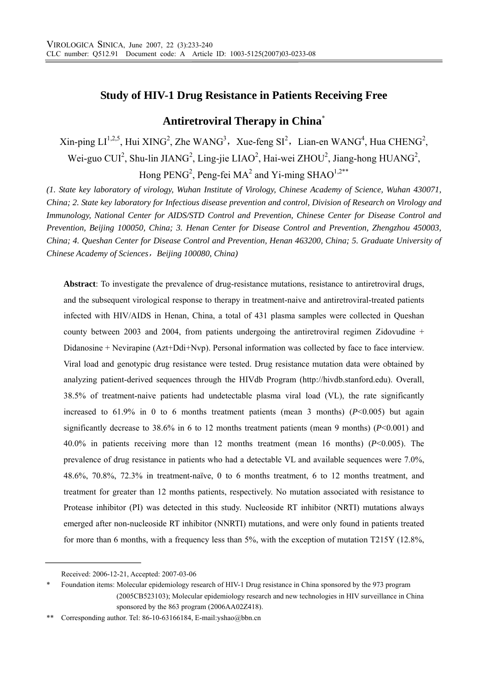# **Study of HIV-1 Drug Resistance in Patients Receiving Free**

# **Antiretroviral Therapy in China**\*

 $\chi$ in-ping LI<sup>1,2,5</sup>, Hui XING<sup>2</sup>, Zhe WANG<sup>3</sup>, Xue-feng SI<sup>2</sup>, Lian-en WANG<sup>4</sup>, Hua CHENG<sup>2</sup>, Wei-guo CUI<sup>2</sup>, Shu-lin JIANG<sup>2</sup>, Ling-jie LIAO<sup>2</sup>, Hai-wei ZHOU<sup>2</sup>, Jiang-hong HUANG<sup>2</sup>, Hong PENG<sup>2</sup>, Peng-fei MA<sup>2</sup> and Yi-ming SHAO<sup>1,2\*\*</sup>

*(1. State key laboratory of virology, Wuhan Institute of Virology, Chinese Academy of Science, Wuhan 430071, China; 2. State key laboratory for Infectious disease prevention and control, Division of Research on Virology and Immunology, National Center for AIDS/STD Control and Prevention, Chinese Center for Disease Control and Prevention, Beijing 100050, China; 3. Henan Center for Disease Control and Prevention, Zhengzhou 450003, China; 4. Queshan Center for Disease Control and Prevention, Henan 463200, China; 5. Graduate University of Chinese Academy of Sciences*,*Beijing 100080, China)* 

**Abstract**: To investigate the prevalence of drug-resistance mutations, resistance to antiretroviral drugs, and the subsequent virological response to therapy in treatment-naive and antiretroviral-treated patients infected with HIV/AIDS in Henan, China, a total of 431 plasma samples were collected in Queshan county between 2003 and 2004, from patients undergoing the antiretroviral regimen Zidovudine + Didanosine + Nevirapine (Azt+Ddi+Nvp). Personal information was collected by face to face interview. Viral load and genotypic drug resistance were tested. Drug resistance mutation data were obtained by analyzing patient-derived sequences through the HIVdb Program (http://hivdb.stanford.edu). Overall, 38.5% of treatment-naive patients had undetectable plasma viral load (VL), the rate significantly increased to  $61.9\%$  in 0 to 6 months treatment patients (mean 3 months) ( $P<0.005$ ) but again significantly decrease to 38.6% in 6 to 12 months treatment patients (mean 9 months) (*P*<0.001) and 40.0% in patients receiving more than 12 months treatment (mean 16 months) (*P*<0.005). The prevalence of drug resistance in patients who had a detectable VL and available sequences were 7.0%, 48.6%, 70.8%, 72.3% in treatment-naïve, 0 to 6 months treatment, 6 to 12 months treatment, and treatment for greater than 12 months patients, respectively. No mutation associated with resistance to Protease inhibitor (PI) was detected in this study. Nucleoside RT inhibitor (NRTI) mutations always emerged after non-nucleoside RT inhibitor (NNRTI) mutations, and were only found in patients treated for more than 6 months, with a frequency less than 5%, with the exception of mutation T215Y (12.8%,

Received: 2006-12-21, Accepted: 2007-03-06

<sup>\*</sup> Foundation items: Molecular epidemiology research of HIV-1 Drug resistance in China sponsored by the 973 program (2005CB523103); Molecular epidemiology research and new technologies in HIV surveillance in China sponsored by the 863 program (2006AA02Z418).

<sup>\*\*</sup> Corresponding author. Tel: 86-10-63166184, E-mail:yshao@bbn.cn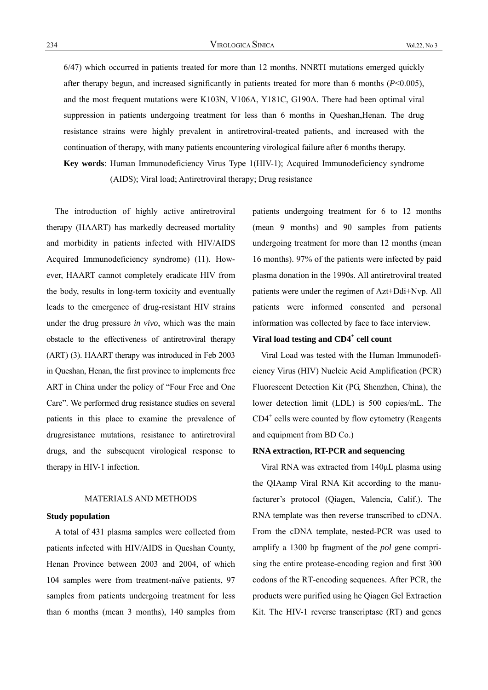6/47) which occurred in patients treated for more than 12 months. NNRTI mutations emerged quickly after therapy begun, and increased significantly in patients treated for more than 6 months (*P*<0.005), and the most frequent mutations were K103N, V106A, Y181C, G190A. There had been optimal viral suppression in patients undergoing treatment for less than 6 months in Queshan,Henan. The drug resistance strains were highly prevalent in antiretroviral-treated patients, and increased with the continuation of therapy, with many patients encountering virological failure after 6 months therapy.

**Key words**: Human Immunodeficiency Virus Type 1(HIV-1); Acquired Immunodeficiency syndrome (AIDS); Viral load; Antiretroviral therapy; Drug resistance

The introduction of highly active antiretroviral therapy (HAART) has markedly decreased mortality and morbidity in patients infected with HIV/AIDS Acquired Immunodeficiency syndrome) (11). However, HAART cannot completely eradicate HIV from the body, results in long-term toxicity and eventually leads to the emergence of drug-resistant HIV strains under the drug pressure *in vivo*, which was the main obstacle to the effectiveness of antiretroviral therapy (ART) (3). HAART therapy was introduced in Feb 2003 in Queshan, Henan, the first province to implements free ART in China under the policy of "Four Free and One Care". We performed drug resistance studies on several patients in this place to examine the prevalence of drugresistance mutations, resistance to antiretroviral drugs, and the subsequent virological response to therapy in HIV-1 infection.

#### MATERIALS AND METHODS

## **Study population**

A total of 431 plasma samples were collected from patients infected with HIV/AIDS in Queshan County, Henan Province between 2003 and 2004, of which 104 samples were from treatment-naïve patients, 97 samples from patients undergoing treatment for less than 6 months (mean 3 months), 140 samples from patients undergoing treatment for 6 to 12 months (mean 9 months) and 90 samples from patients undergoing treatment for more than 12 months (mean 16 months). 97% of the patients were infected by paid plasma donation in the 1990s. All antiretroviral treated patients were under the regimen of Azt+Ddi+Nvp. All patients were informed consented and personal information was collected by face to face interview.

## **Viral load testing and CD4<sup>+</sup> cell count**

Viral Load was tested with the Human Immunodeficiency Virus (HIV) Nucleic Acid Amplification (PCR) Fluorescent Detection Kit (PG, Shenzhen, China), the lower detection limit (LDL) is 500 copies/mL. The CD4<sup>+</sup> cells were counted by flow cytometry (Reagents and equipment from BD Co.)

#### **RNA extraction, RT-PCR and sequencing**

Viral RNA was extracted from 140μL plasma using the QIAamp Viral RNA Kit according to the manufacturer's protocol (Qiagen, Valencia, Calif.). The RNA template was then reverse transcribed to cDNA. From the cDNA template, nested-PCR was used to amplify a 1300 bp fragment of the *pol* gene comprising the entire protease-encoding region and first 300 codons of the RT-encoding sequences. After PCR, the products were purified using he Qiagen Gel Extraction Kit. The HIV-1 reverse transcriptase (RT) and genes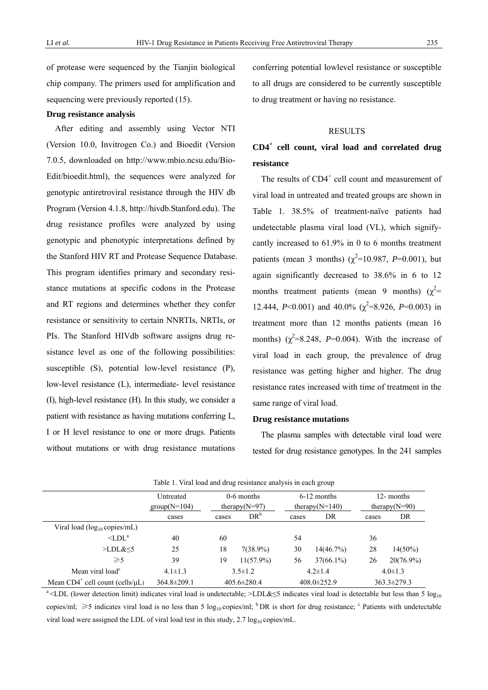of protease were sequenced by the Tianjin biological chip company. The primers used for amplification and sequencing were previously reported (15).

#### **Drug resistance analysis**

After editing and assembly using Vector NTI (Version 10.0, Invitrogen Co.) and Bioedit (Version 7.0.5, downloaded on http://www.mbio.ncsu.edu/Bio-Edit/bioedit.html), the sequences were analyzed for genotypic antiretroviral resistance through the HIV db Program (Version 4.1.8, http://hivdb.Stanford.edu). The drug resistance profiles were analyzed by using genotypic and phenotypic interpretations defined by the Stanford HIV RT and Protease Sequence Database. This program identifies primary and secondary resistance mutations at specific codons in the Protease and RT regions and determines whether they confer resistance or sensitivity to certain NNRTIs, NRTIs, or PIs. The Stanford HIVdb software assigns drug resistance level as one of the following possibilities: susceptible (S), potential low-level resistance (P), low-level resistance (L), intermediate- level resistance (I), high-level resistance (H). In this study, we consider a patient with resistance as having mutations conferring L, I or H level resistance to one or more drugs. Patients without mutations or with drug resistance mutations

conferring potential lowlevel resistance or susceptible to all drugs are considered to be currently susceptible to drug treatment or having no resistance.

#### **RESULTS**

# **CD4<sup>+</sup> cell count, viral load and correlated drug resistance**

The results of CD4<sup>+</sup> cell count and measurement of viral load in untreated and treated groups are shown in Table 1. 38.5% of treatment-naïve patients had undetectable plasma viral load (VL), which signifycantly increased to 61.9% in 0 to 6 months treatment patients (mean 3 months) ( $\chi^2$ =10.987, *P*=0.001), but again significantly decreased to 38.6% in 6 to 12 months treatment patients (mean 9 months)  $(\chi^2$ = 12.444,  $P<0.001$ ) and 40.0% ( $\chi^2$ =8.926,  $P=0.003$ ) in treatment more than 12 months patients (mean 16 months)  $(\chi^2=8.248, P=0.004)$ . With the increase of viral load in each group, the prevalence of drug resistance was getting higher and higher. The drug resistance rates increased with time of treatment in the same range of viral load.

#### **Drug resistance mutations**

The plasma samples with detectable viral load were tested for drug resistance genotypes. In the 241 samples

| Tuble 1. Then load and drug resistance and follo in each group |                           |                   |               |                    |                   |                  |                   |  |
|----------------------------------------------------------------|---------------------------|-------------------|---------------|--------------------|-------------------|------------------|-------------------|--|
|                                                                | $0-6$ months<br>Untreated |                   | $6-12$ months |                    | 12- months        |                  |                   |  |
|                                                                | $group(N=104)$            | therapy $(N=97)$  |               | therapy( $N=140$ ) |                   | therapy $(N=90)$ |                   |  |
|                                                                | cases                     | cases             | $DR^b$        | cases              | DR                | cases            | DR                |  |
| Viral load ( $log_{10}$ copies/mL)                             |                           |                   |               |                    |                   |                  |                   |  |
| $\triangle$ LDL <sup>a</sup>                                   | 40                        | 60                |               | 54                 |                   | 36               |                   |  |
| >LDL&5                                                         | 25                        | 18                | $7(38.9\%)$   | 30                 | 14(46.7%)         | 28               | $14(50\%)$        |  |
| $\geqslant$ 5                                                  | 39                        | 19                | $11(57.9\%)$  | 56                 | $37(66.1\%)$      | 26               | $20(76.9\%)$      |  |
| Mean viral load <sup>c</sup>                                   | $4.1 \pm 1.3$             | $3.5 \pm 1.2$     |               | $4.2 \pm 1.4$      |                   | $4.0 \pm 1.3$    |                   |  |
| Mean $CD4^+$ cell count (cells/ $\mu$ L)                       | $364.8 \pm 209.1$         | $405.6 \pm 280.4$ |               |                    | $408.0 \pm 252.9$ |                  | $363.3 \pm 279.3$ |  |

Table 1. Viral load and drug resistance analysis in each group

<sup>a</sup><LDL (lower detection limit) indicates viral load is undetectable; >LDL&≤5 indicates viral load is detectable but less than 5 log<sub>10</sub> copies/ml;  $\geq$ 5 indicates viral load is no less than 5 log<sub>10</sub> copies/ml; <sup>b</sup> DR is short for drug resistance; <sup>c</sup> Patients with undetectable viral load were assigned the LDL of viral load test in this study,  $2.7 \log_{10}$  copies/mL.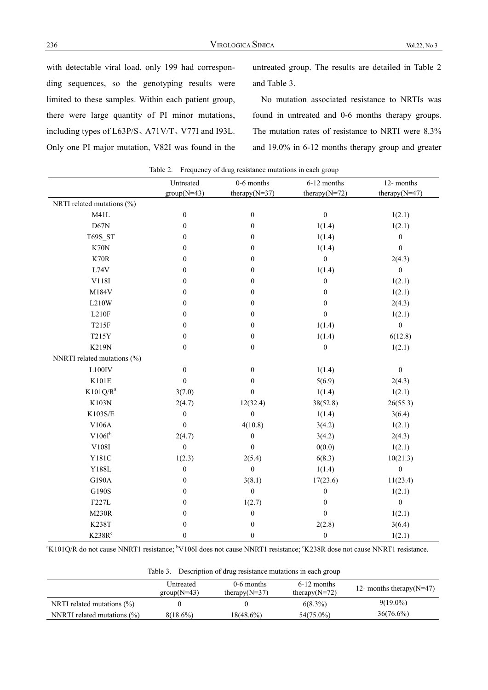with detectable viral load, only 199 had corresponding sequences, so the genotyping results were limited to these samples. Within each patient group, there were large quantity of PI minor mutations, including types of L63P/S、A71V/T、V77I and I93L. Only one PI major mutation, V82I was found in the untreated group. The results are detailed in Table 2 and Table 3.

No mutation associated resistance to NRTIs was found in untreated and 0-6 months therapy groups. The mutation rates of resistance to NRTI were 8.3% and 19.0% in 6-12 months therapy group and greater

|                             | Untreated        | rable 2. Frequency of drug resistance mutations in each group<br>0-6 months | 6-12 months       | 12- months        |
|-----------------------------|------------------|-----------------------------------------------------------------------------|-------------------|-------------------|
|                             | $group(N=43)$    | therapy( $N=37$ )                                                           | therapy( $N=72$ ) | therapy( $N=47$ ) |
| NRTI related mutations (%)  |                  |                                                                             |                   |                   |
| M41L                        | $\boldsymbol{0}$ | $\boldsymbol{0}$                                                            | $\boldsymbol{0}$  | 1(2.1)            |
| D67N                        | $\boldsymbol{0}$ | $\boldsymbol{0}$                                                            | 1(1.4)            | 1(2.1)            |
| T69S_ST                     | $\boldsymbol{0}$ | $\boldsymbol{0}$                                                            | 1(1.4)            | $\boldsymbol{0}$  |
| K70N                        | $\boldsymbol{0}$ | $\boldsymbol{0}$                                                            | 1(1.4)            | $\boldsymbol{0}$  |
| K70R                        | $\boldsymbol{0}$ | $\boldsymbol{0}$                                                            | $\boldsymbol{0}$  | 2(4.3)            |
| L74V                        | $\boldsymbol{0}$ | $\boldsymbol{0}$                                                            | 1(1.4)            | $\boldsymbol{0}$  |
| $\rm V118I$                 | $\boldsymbol{0}$ | $\boldsymbol{0}$                                                            | $\boldsymbol{0}$  | 1(2.1)            |
| M184V                       | $\boldsymbol{0}$ | $\boldsymbol{0}$                                                            | $\boldsymbol{0}$  | 1(2.1)            |
| L210W                       | $\boldsymbol{0}$ | $\boldsymbol{0}$                                                            | $\boldsymbol{0}$  | 2(4.3)            |
| L210F                       | $\boldsymbol{0}$ | $\boldsymbol{0}$                                                            | $\mathbf{0}$      | 1(2.1)            |
| T215F                       | $\boldsymbol{0}$ | $\mathbf{0}$                                                                | 1(1.4)            | $\boldsymbol{0}$  |
| T215Y                       | $\boldsymbol{0}$ | $\boldsymbol{0}$                                                            | 1(1.4)            | 6(12.8)           |
| K219N                       | $\boldsymbol{0}$ | $\boldsymbol{0}$                                                            | $\boldsymbol{0}$  | 1(2.1)            |
| NNRTI related mutations (%) |                  |                                                                             |                   |                   |
| $L100$ IV                   | $\boldsymbol{0}$ | $\boldsymbol{0}$                                                            | 1(1.4)            | $\boldsymbol{0}$  |
| K101E                       | $\mathbf{0}$     | $\boldsymbol{0}$                                                            | 5(6.9)            | 2(4.3)            |
| $K101Q/R^a$                 | 3(7.0)           | $\boldsymbol{0}$                                                            | 1(1.4)            | 1(2.1)            |
| K103N                       | 2(4.7)           | 12(32.4)                                                                    | 38(52.8)          | 26(55.3)          |
| K103S/E                     | $\boldsymbol{0}$ | $\boldsymbol{0}$                                                            | 1(1.4)            | 3(6.4)            |
| V106A                       | $\boldsymbol{0}$ | 4(10.8)                                                                     | 3(4.2)            | 1(2.1)            |
| $V106I^b$                   | 2(4.7)           | $\boldsymbol{0}$                                                            | 3(4.2)            | 2(4.3)            |
| V108I                       | $\boldsymbol{0}$ | $\boldsymbol{0}$                                                            | 0(0.0)            | 1(2.1)            |
| Y181C                       | 1(2.3)           | 2(5.4)                                                                      | 6(8.3)            | 10(21.3)          |
| Y188L                       | $\boldsymbol{0}$ | $\boldsymbol{0}$                                                            | 1(1.4)            | $\boldsymbol{0}$  |
| G190A                       | $\boldsymbol{0}$ | 3(8.1)                                                                      | 17(23.6)          | 11(23.4)          |
| G190S                       | $\boldsymbol{0}$ | $\boldsymbol{0}$                                                            | $\boldsymbol{0}$  | 1(2.1)            |
| F227L                       | $\boldsymbol{0}$ | 1(2.7)                                                                      | $\boldsymbol{0}$  | $\boldsymbol{0}$  |
| <b>M230R</b>                | $\boldsymbol{0}$ | $\boldsymbol{0}$                                                            | $\boldsymbol{0}$  | 1(2.1)            |
| <b>K238T</b>                | $\boldsymbol{0}$ | $\boldsymbol{0}$                                                            | 2(2.8)            | 3(6.4)            |
| K238R <sup>c</sup>          | $\boldsymbol{0}$ | $\boldsymbol{0}$                                                            | $\boldsymbol{0}$  | 1(2.1)            |

Table 2. Frequency of drug resistance mutations in each group

<sup>a</sup>K101Q/R do not cause NNRT1 resistance; <sup>b</sup>V106I does not cause NNRT1 resistance; <sup>c</sup>K238R dose not cause NNRT1 resistance.

Table 3. Description of drug resistance mutations in each group

|                                 | Untreated<br>$group(N=43)$ | 0-6 months<br>therapy $(N=37)$ | $6-12$ months<br>therapy( $N=72$ ) | 12- months therapy $(N=47)$ |
|---------------------------------|----------------------------|--------------------------------|------------------------------------|-----------------------------|
| NRTI related mutations $(\% )$  |                            |                                | $6(8.3\%)$                         | $9(19.0\%)$                 |
| NNRTI related mutations $(\% )$ | $8(18.6\%)$                | $18(48.6\%)$                   | 54(75.0%)                          | $36(76.6\%)$                |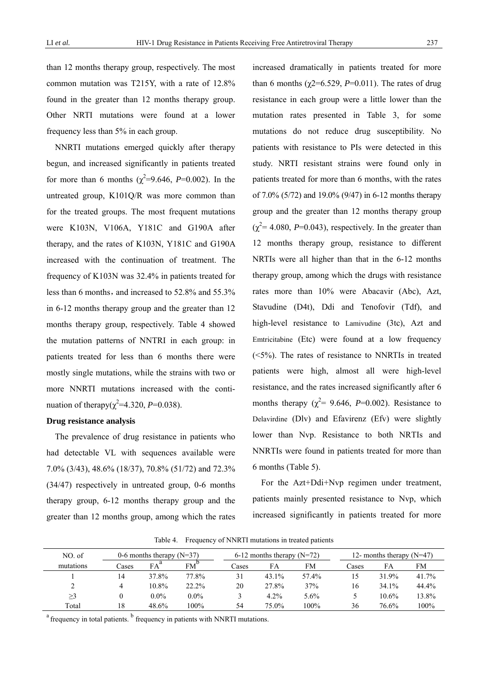than 12 months therapy group, respectively. The most common mutation was T215Y, with a rate of 12.8% found in the greater than 12 months therapy group. Other NRTI mutations were found at a lower frequency less than 5% in each group.

NNRTI mutations emerged quickly after therapy begun, and increased significantly in patients treated for more than 6 months ( $\chi^2$ =9.646, *P*=0.002). In the untreated group, K101Q/R was more common than for the treated groups. The most frequent mutations were K103N, V106A, Y181C and G190A after therapy, and the rates of K103N, Y181C and G190A increased with the continuation of treatment. The frequency of K103N was 32.4% in patients treated for less than 6 months, and increased to  $52.8\%$  and  $55.3\%$ in 6-12 months therapy group and the greater than 12 months therapy group, respectively. Table 4 showed the mutation patterns of NNTRI in each group: in patients treated for less than 6 months there were mostly single mutations, while the strains with two or more NNRTI mutations increased with the continuation of therapy( $\chi^2$ =4.320, *P*=0.038).

### **Drug resistance analysis**

The prevalence of drug resistance in patients who had detectable VL with sequences available were 7.0% (3/43), 48.6% (18/37), 70.8% (51/72) and 72.3% (34/47) respectively in untreated group, 0-6 months therapy group, 6-12 months therapy group and the greater than 12 months group, among which the rates increased dramatically in patients treated for more than 6 months ( $\chi$ 2=6.529, *P*=0.011). The rates of drug resistance in each group were a little lower than the mutation rates presented in Table 3, for some mutations do not reduce drug susceptibility. No patients with resistance to PIs were detected in this study. NRTI resistant strains were found only in patients treated for more than 6 months, with the rates of 7.0% (5/72) and 19.0% (9/47) in 6-12 months therapy group and the greater than 12 months therapy group  $(\chi^2$  = 4.080, *P*=0.043), respectively. In the greater than 12 months therapy group, resistance to different NRTIs were all higher than that in the 6-12 months therapy group, among which the drugs with resistance rates more than 10% were Abacavir (Abc), Azt, Stavudine (D4t), Ddi and Tenofovir (Tdf), and high-level resistance to Lamivudine (3tc), Azt and Emtricitabine (Etc) were found at a low frequency  $(<5\%)$ . The rates of resistance to NNRTIs in treated patients were high, almost all were high-level resistance, and the rates increased significantly after 6 months therapy ( $\chi^2$  = 9.646, *P*=0.002). Resistance to Delavirdine (Dlv) and Efavirenz (Efv) were slightly lower than Nvp. Resistance to both NRTIs and NNRTIs were found in patients treated for more than 6 months (Table 5).

For the Azt+Ddi+Nvp regimen under treatment, patients mainly presented resistance to Nvp, which increased significantly in patients treated for more

| NO. of    | 0-6 months therapy $(N=37)$ |         |              | 6-12 months therapy $(N=72)$ |          |       | 12- months therapy $(N=47)$ |          |       |
|-----------|-----------------------------|---------|--------------|------------------------------|----------|-------|-----------------------------|----------|-------|
| mutations | Cases                       | FA      | $FM^{\circ}$ | Cases                        | FA       | FM    | Cases                       | FA       | FM    |
|           | 14                          | 37.8%   | 77.8%        | 31                           | $43.1\%$ | 57.4% | 15                          | 31.9%    | 41.7% |
|           | 4                           | 10.8%   | $22.2\%$     | 20                           | 27.8%    | 37%   | 16                          | $34.1\%$ | 44.4% |
| >3        |                             | $0.0\%$ | $0.0\%$      |                              | 4.2%     | 5.6%  |                             | 10.6%    | 13.8% |
| Total     | 18                          | 48.6%   | 100%         | 54                           | $75.0\%$ | 100%  | 36                          | 76.6%    | 100%  |

Table 4. Frequency of NNRTI mutations in treated patients

<sup>a</sup> frequency in total patients. <sup>b</sup> frequency in patients with NNRTI mutations.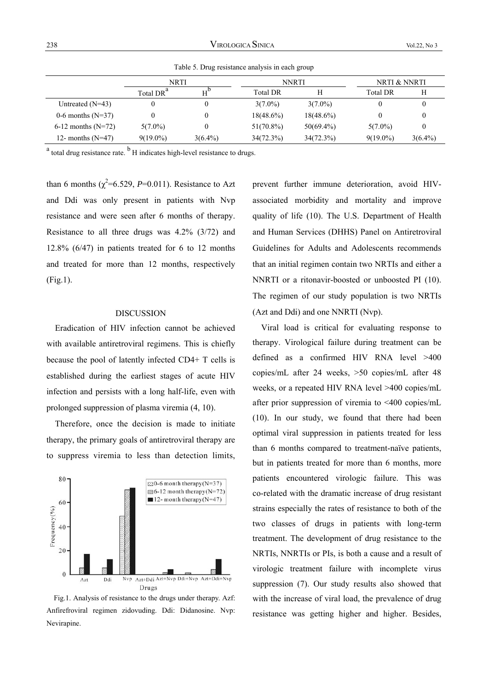|                      | NRTI                  |            |                 | <b>NNRTI</b> | NRTI & NNRTI    |            |
|----------------------|-----------------------|------------|-----------------|--------------|-----------------|------------|
|                      | Total DR <sup>a</sup> |            | <b>Total DR</b> |              | <b>Total DR</b> |            |
| Untreated $(N=43)$   | 0                     | 0          | $3(7.0\%)$      | $3(7.0\%)$   |                 |            |
| 0-6 months $(N=37)$  | 0                     | 0          | $18(48.6\%)$    | $18(48.6\%)$ |                 |            |
| 6-12 months $(N=72)$ | $5(7.0\%)$            | 0          | $51(70.8\%)$    | $50(69.4\%)$ | $5(7.0\%)$      |            |
| 12- months $(N=47)$  | $9(19.0\%)$           | $3(6.4\%)$ | 34(72.3%)       | 34(72.3%)    | $9(19.0\%)$     | $3(6.4\%)$ |

Table 5. Drug resistance analysis in each group

 $^{\text{a}}$  total drug resistance rate.  $^{\text{b}}$  H indicates high-level resistance to drugs.

than 6 months  $(\chi^2=6.529, P=0.011)$ . Resistance to Azt and Ddi was only present in patients with Nvp resistance and were seen after 6 months of therapy. Resistance to all three drugs was 4.2% (3/72) and 12.8% (6/47) in patients treated for 6 to 12 months and treated for more than 12 months, respectively (Fig.1).

### DISCUSSION

Eradication of HIV infection cannot be achieved with available antiretroviral regimens. This is chiefly because the pool of latently infected CD4+ T cells is established during the earliest stages of acute HIV infection and persists with a long half-life, even with prolonged suppression of plasma viremia (4, 10).

Therefore, once the decision is made to initiate therapy, the primary goals of antiretroviral therapy are to suppress viremia to less than detection limits,



Fig.1. Analysis of resistance to the drugs under therapy. Azf: Anfirefroviral regimen zidovuding. Ddi: Didanosine. Nvp: Nevirapine.

prevent further immune deterioration, avoid HIVassociated morbidity and mortality and improve quality of life (10). The U.S. Department of Health and Human Services (DHHS) Panel on Antiretroviral Guidelines for Adults and Adolescents recommends that an initial regimen contain two NRTIs and either a NNRTI or a ritonavir-boosted or unboosted PI (10). The regimen of our study population is two NRTIs (Azt and Ddi) and one NNRTI (Nvp).

Viral load is critical for evaluating response to therapy. Virological failure during treatment can be defined as a confirmed HIV RNA level >400 copies/mL after 24 weeks, >50 copies/mL after 48 weeks, or a repeated HIV RNA level >400 copies/mL after prior suppression of viremia to <400 copies/mL (10). In our study, we found that there had been optimal viral suppression in patients treated for less than 6 months compared to treatment-naïve patients, but in patients treated for more than 6 months, more patients encountered virologic failure. This was co-related with the dramatic increase of drug resistant strains especially the rates of resistance to both of the two classes of drugs in patients with long-term treatment. The development of drug resistance to the NRTIs, NNRTIs or PIs, is both a cause and a result of virologic treatment failure with incomplete virus suppression (7). Our study results also showed that with the increase of viral load, the prevalence of drug resistance was getting higher and higher. Besides,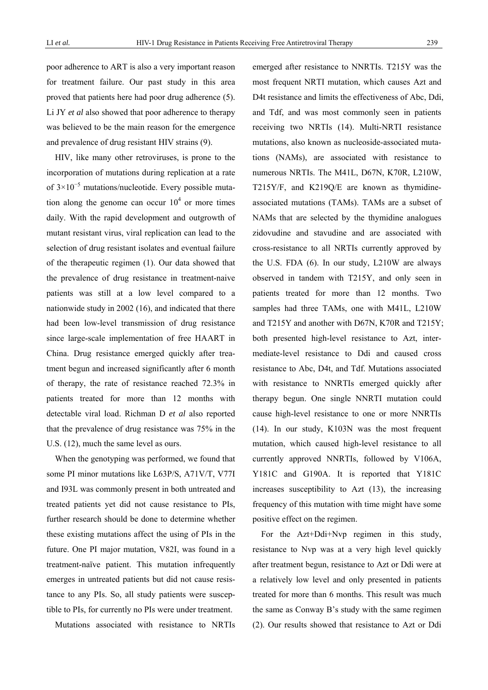poor adherence to ART is also a very important reason for treatment failure. Our past study in this area proved that patients here had poor drug adherence (5). Li JY *et al* also showed that poor adherence to therapy was believed to be the main reason for the emergence and prevalence of drug resistant HIV strains (9).

HIV, like many other retroviruses, is prone to the incorporation of mutations during replication at a rate of  $3 \times 10^{-5}$  mutations/nucleotide. Every possible mutation along the genome can occur  $10<sup>4</sup>$  or more times daily. With the rapid development and outgrowth of mutant resistant virus, viral replication can lead to the selection of drug resistant isolates and eventual failure of the therapeutic regimen (1). Our data showed that the prevalence of drug resistance in treatment-naive patients was still at a low level compared to a nationwide study in 2002 (16), and indicated that there had been low-level transmission of drug resistance since large-scale implementation of free HAART in China. Drug resistance emerged quickly after treatment begun and increased significantly after 6 month of therapy, the rate of resistance reached 72.3% in patients treated for more than 12 months with detectable viral load. Richman D *et al* also reported that the prevalence of drug resistance was 75% in the U.S. (12), much the same level as ours.

When the genotyping was performed, we found that some PI minor mutations like L63P/S, A71V/T, V77I and I93L was commonly present in both untreated and treated patients yet did not cause resistance to PIs, further research should be done to determine whether these existing mutations affect the using of PIs in the future. One PI major mutation, V82I, was found in a treatment-naïve patient. This mutation infrequently emerges in untreated patients but did not cause resistance to any PIs. So, all study patients were susceptible to PIs, for currently no PIs were under treatment.

Mutations associated with resistance to NRTIs

emerged after resistance to NNRTIs. T215Y was the most frequent NRTI mutation, which causes Azt and D4t resistance and limits the effectiveness of Abc, Ddi, and Tdf, and was most commonly seen in patients receiving two NRTIs (14). Multi-NRTI resistance mutations, also known as nucleoside-associated mutations (NAMs), are associated with resistance to numerous NRTIs. The M41L, D67N, K70R, L210W, T215Y/F, and K219Q/E are known as thymidineassociated mutations (TAMs). TAMs are a subset of NAMs that are selected by the thymidine analogues zidovudine and stavudine and are associated with cross-resistance to all NRTIs currently approved by the U.S. FDA (6). In our study, L210W are always observed in tandem with T215Y, and only seen in patients treated for more than 12 months. Two samples had three TAMs, one with M41L, L210W and T215Y and another with D67N, K70R and T215Y; both presented high-level resistance to Azt, intermediate-level resistance to Ddi and caused cross resistance to Abc, D4t, and Tdf. Mutations associated with resistance to NNRTIs emerged quickly after therapy begun. One single NNRTI mutation could cause high-level resistance to one or more NNRTIs (14). In our study, K103N was the most frequent mutation, which caused high-level resistance to all currently approved NNRTIs, followed by V106A, Y181C and G190A. It is reported that Y181C increases susceptibility to Azt (13), the increasing frequency of this mutation with time might have some positive effect on the regimen.

For the Azt+Ddi+Nvp regimen in this study, resistance to Nvp was at a very high level quickly after treatment begun, resistance to Azt or Ddi were at a relatively low level and only presented in patients treated for more than 6 months. This result was much the same as Conway B's study with the same regimen (2). Our results showed that resistance to Azt or Ddi